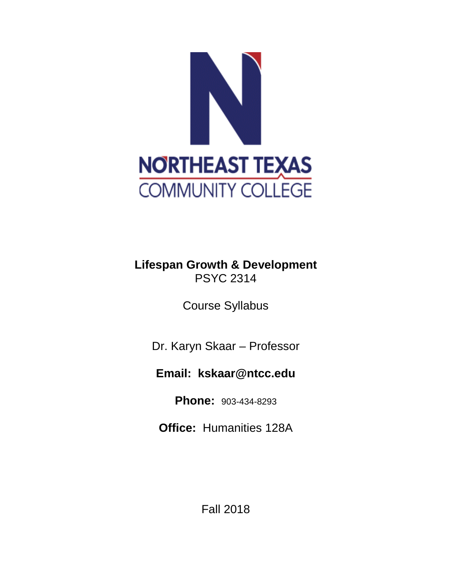

# **Lifespan Growth & Development** PSYC 2314

Course Syllabus

Dr. Karyn Skaar – Professor

# **Email: kskaar@ntcc.edu**

**Phone:** 903-434-8293

**Office:** Humanities 128A

Fall 2018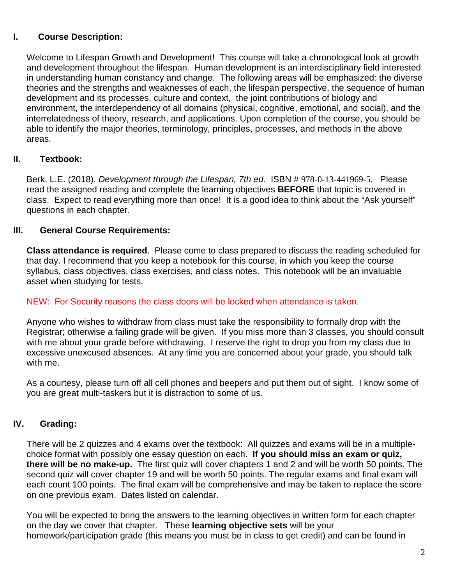# **I. Course Description:**

Welcome to Lifespan Growth and Development! This course will take a chronological look at growth and development throughout the lifespan. Human development is an interdisciplinary field interested in understanding human constancy and change. The following areas will be emphasized: the diverse theories and the strengths and weaknesses of each, the lifespan perspective, the sequence of human development and its processes, culture and context, the joint contributions of biology and environment, the interdependency of all domains (physical, cognitive, emotional, and social), and the interrelatedness of theory, research, and applications. Upon completion of the course, you should be able to identify the major theories, terminology, principles, processes, and methods in the above areas.

# **II. Textbook:**

Berk, L.E. (2018). *Development through the Lifespan, 7th ed.* ISBN # 978-0-13-441969-5. Please read the assigned reading and complete the learning objectives **BEFORE** that topic is covered in class. Expect to read everything more than once! It is a good idea to think about the "Ask yourself" questions in each chapter.

#### **III. General Course Requirements:**

**Class attendance is required**. Please come to class prepared to discuss the reading scheduled for that day. I recommend that you keep a notebook for this course, in which you keep the course syllabus, class objectives, class exercises, and class notes. This notebook will be an invaluable asset when studying for tests.

#### NEW: For Security reasons the class doors will be locked when attendance is taken.

Anyone who wishes to withdraw from class must take the responsibility to formally drop with the Registrar; otherwise a failing grade will be given. If you miss more than 3 classes, you should consult with me about your grade before withdrawing. I reserve the right to drop you from my class due to excessive unexcused absences. At any time you are concerned about your grade, you should talk with me.

As a courtesy, please turn off all cell phones and beepers and put them out of sight. I know some of you are great multi-taskers but it is distraction to some of us.

# **IV. Grading:**

There will be 2 quizzes and 4 exams over the textbook: All quizzes and exams will be in a multiplechoice format with possibly one essay question on each. **If you should miss an exam or quiz, there will be no make-up.** The first quiz will cover chapters 1 and 2 and will be worth 50 points. The second quiz will cover chapter 19 and will be worth 50 points. The regular exams and final exam will each count 100 points. The final exam will be comprehensive and may be taken to replace the score on one previous exam. Dates listed on calendar.

You will be expected to bring the answers to the learning objectives in written form for each chapter on the day we cover that chapter. These **learning objective sets** will be your homework/participation grade (this means you must be in class to get credit) and can be found in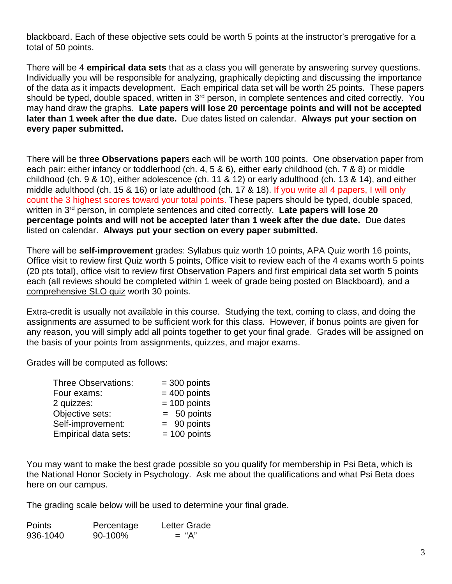blackboard. Each of these objective sets could be worth 5 points at the instructor's prerogative for a total of 50 points.

There will be 4 **empirical data sets** that as a class you will generate by answering survey questions. Individually you will be responsible for analyzing, graphically depicting and discussing the importance of the data as it impacts development. Each empirical data set will be worth 25 points. These papers should be typed, double spaced, written in 3<sup>rd</sup> person, in complete sentences and cited correctly. You may hand draw the graphs. **Late papers will lose 20 percentage points and will not be accepted later than 1 week after the due date.** Due dates listed on calendar. **Always put your section on every paper submitted.**

There will be three **Observations paper**s each will be worth 100 points. One observation paper from each pair: either infancy or toddlerhood (ch. 4, 5 & 6), either early childhood (ch. 7 & 8) or middle childhood (ch. 9 & 10), either adolescence (ch. 11 & 12) or early adulthood (ch. 13 & 14), and either middle adulthood (ch. 15 & 16) or late adulthood (ch. 17 & 18). If you write all 4 papers, I will only count the 3 highest scores toward your total points. These papers should be typed, double spaced, written in 3rd person, in complete sentences and cited correctly. **Late papers will lose 20 percentage points and will not be accepted later than 1 week after the due date.** Due dates listed on calendar. **Always put your section on every paper submitted.**

There will be **self-improvement** grades: Syllabus quiz worth 10 points, APA Quiz worth 16 points, Office visit to review first Quiz worth 5 points, Office visit to review each of the 4 exams worth 5 points (20 pts total), office visit to review first Observation Papers and first empirical data set worth 5 points each (all reviews should be completed within 1 week of grade being posted on Blackboard), and a comprehensive SLO quiz worth 30 points.

Extra-credit is usually not available in this course. Studying the text, coming to class, and doing the assignments are assumed to be sufficient work for this class. However, if bonus points are given for any reason, you will simply add all points together to get your final grade. Grades will be assigned on the basis of your points from assignments, quizzes, and major exams.

Grades will be computed as follows:

| $=$ 300 points |
|----------------|
| $= 400$ points |
| $= 100$ points |
| $= 50$ points  |
| $= 90$ points  |
| $= 100$ points |
|                |

You may want to make the best grade possible so you qualify for membership in Psi Beta, which is the National Honor Society in Psychology. Ask me about the qualifications and what Psi Beta does here on our campus.

The grading scale below will be used to determine your final grade.

| <b>Points</b> | Percentage | <b>Letter Grade</b> |
|---------------|------------|---------------------|
| 936-1040      | $90-100\%$ | $=$ "A"             |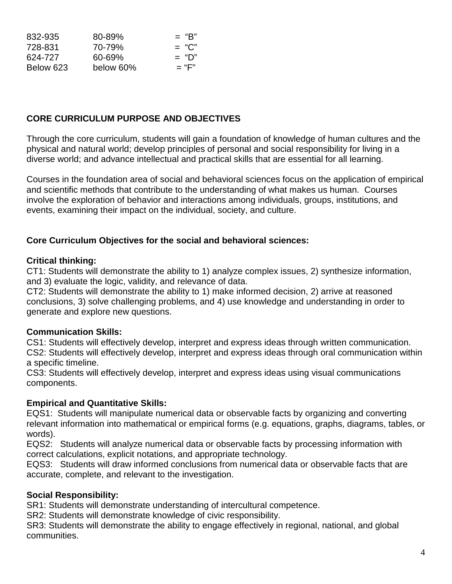| 832-935   | 80-89%    | $=$ "B" |
|-----------|-----------|---------|
| 728-831   | 70-79%    | $=$ "C" |
| 624-727   | 60-69%    | $=$ "D" |
| Below 623 | below 60% | $=$ "F" |

# **CORE CURRICULUM PURPOSE AND OBJECTIVES**

Through the core curriculum, students will gain a foundation of knowledge of human cultures and the physical and natural world; develop principles of personal and social responsibility for living in a diverse world; and advance intellectual and practical skills that are essential for all learning.

Courses in the foundation area of social and behavioral sciences focus on the application of empirical and scientific methods that contribute to the understanding of what makes us human. Courses involve the exploration of behavior and interactions among individuals, groups, institutions, and events, examining their impact on the individual, society, and culture.

# **Core Curriculum Objectives for the social and behavioral sciences:**

# **Critical thinking:**

CT1: Students will demonstrate the ability to 1) analyze complex issues, 2) synthesize information, and 3) evaluate the logic, validity, and relevance of data.

CT2: Students will demonstrate the ability to 1) make informed decision, 2) arrive at reasoned conclusions, 3) solve challenging problems, and 4) use knowledge and understanding in order to generate and explore new questions.

# **Communication Skills:**

CS1: Students will effectively develop, interpret and express ideas through written communication. CS2: Students will effectively develop, interpret and express ideas through oral communication within a specific timeline.

CS3: Students will effectively develop, interpret and express ideas using visual communications components.

# **Empirical and Quantitative Skills:**

EQS1: Students will manipulate numerical data or observable facts by organizing and converting relevant information into mathematical or empirical forms (e.g. equations, graphs, diagrams, tables, or words).

EQS2: Students will analyze numerical data or observable facts by processing information with correct calculations, explicit notations, and appropriate technology.

EQS3: Students will draw informed conclusions from numerical data or observable facts that are accurate, complete, and relevant to the investigation.

# **Social Responsibility:**

SR1: Students will demonstrate understanding of intercultural competence.

SR2: Students will demonstrate knowledge of civic responsibility.

SR3: Students will demonstrate the ability to engage effectively in regional, national, and global communities.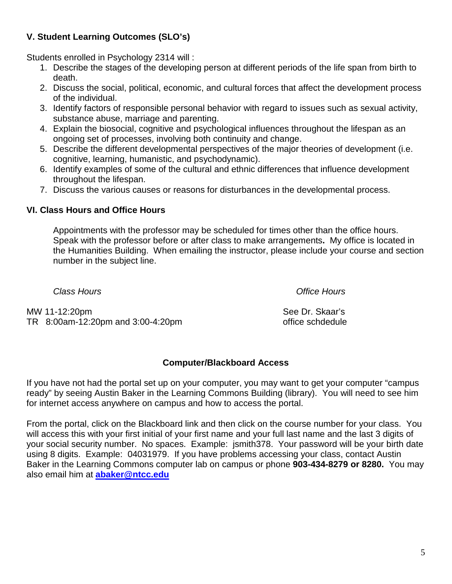# **V. Student Learning Outcomes (SLO's)**

Students enrolled in Psychology 2314 will :

- 1. Describe the stages of the developing person at different periods of the life span from birth to death.
- 2. Discuss the social, political, economic, and cultural forces that affect the development process of the individual.
- 3. Identify factors of responsible personal behavior with regard to issues such as sexual activity, substance abuse, marriage and parenting.
- 4. Explain the biosocial, cognitive and psychological influences throughout the lifespan as an ongoing set of processes, involving both continuity and change.
- 5. Describe the different developmental perspectives of the major theories of development (i.e. cognitive, learning, humanistic, and psychodynamic).
- 6. Identify examples of some of the cultural and ethnic differences that influence development throughout the lifespan.
- 7. Discuss the various causes or reasons for disturbances in the developmental process.

# **VI. Class Hours and Office Hours**

Appointments with the professor may be scheduled for times other than the office hours. Speak with the professor before or after class to make arrangements**.** My office is located in the Humanities Building. When emailing the instructor, please include your course and section number in the subject line.

*Class Hours Office Hours*

MW 11-12:20pm TR 8:00am-12:20pm and 3:00-4:20pm

See Dr. Skaar's office schdedule

# **Computer/Blackboard Access**

If you have not had the portal set up on your computer, you may want to get your computer "campus ready" by seeing Austin Baker in the Learning Commons Building (library). You will need to see him for internet access anywhere on campus and how to access the portal.

From the portal, click on the Blackboard link and then click on the course number for your class. You will access this with your first initial of your first name and your full last name and the last 3 digits of your social security number. No spaces. Example: jsmith378. Your password will be your birth date using 8 digits. Example: 04031979. If you have problems accessing your class, contact Austin Baker in the Learning Commons computer lab on campus or phone **903-434-8279 or 8280.** You may also email him at **[abaker@ntcc.edu](mailto:abaker@ntcc.edu)**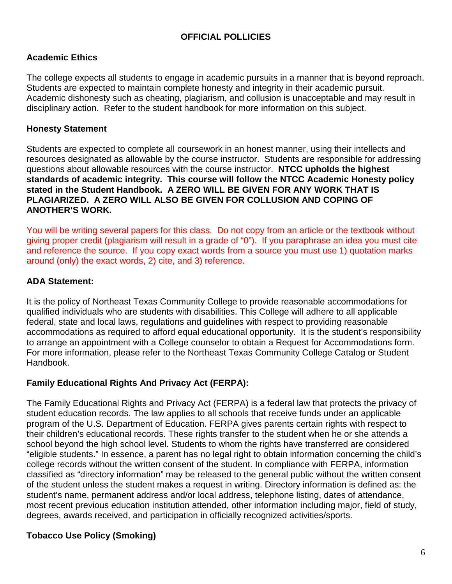# **OFFICIAL POLLICIES**

#### **Academic Ethics**

The college expects all students to engage in academic pursuits in a manner that is beyond reproach. Students are expected to maintain complete honesty and integrity in their academic pursuit. Academic dishonesty such as cheating, plagiarism, and collusion is unacceptable and may result in disciplinary action. Refer to the student handbook for more information on this subject.

#### **Honesty Statement**

Students are expected to complete all coursework in an honest manner, using their intellects and resources designated as allowable by the course instructor. Students are responsible for addressing questions about allowable resources with the course instructor. **NTCC upholds the highest standards of academic integrity. This course will follow the NTCC Academic Honesty policy stated in the Student Handbook. A ZERO WILL BE GIVEN FOR ANY WORK THAT IS PLAGIARIZED. A ZERO WILL ALSO BE GIVEN FOR COLLUSION AND COPING OF ANOTHER'S WORK.**

You will be writing several papers for this class. Do not copy from an article or the textbook without giving proper credit (plagiarism will result in a grade of "0"). If you paraphrase an idea you must cite and reference the source. If you copy exact words from a source you must use 1) quotation marks around (only) the exact words, 2) cite, and 3) reference.

#### **ADA Statement:**

It is the policy of Northeast Texas Community College to provide reasonable accommodations for qualified individuals who are students with disabilities. This College will adhere to all applicable federal, state and local laws, regulations and guidelines with respect to providing reasonable accommodations as required to afford equal educational opportunity. It is the student's responsibility to arrange an appointment with a College counselor to obtain a Request for Accommodations form. For more information, please refer to the Northeast Texas Community College Catalog or Student Handbook.

# **Family Educational Rights And Privacy Act (FERPA):**

The Family Educational Rights and Privacy Act (FERPA) is a federal law that protects the privacy of student education records. The law applies to all schools that receive funds under an applicable program of the U.S. Department of Education. FERPA gives parents certain rights with respect to their children's educational records. These rights transfer to the student when he or she attends a school beyond the high school level. Students to whom the rights have transferred are considered "eligible students." In essence, a parent has no legal right to obtain information concerning the child's college records without the written consent of the student. In compliance with FERPA, information classified as "directory information" may be released to the general public without the written consent of the student unless the student makes a request in writing. Directory information is defined as: the student's name, permanent address and/or local address, telephone listing, dates of attendance, most recent previous education institution attended, other information including major, field of study, degrees, awards received, and participation in officially recognized activities/sports.

# **Tobacco Use Policy (Smoking)**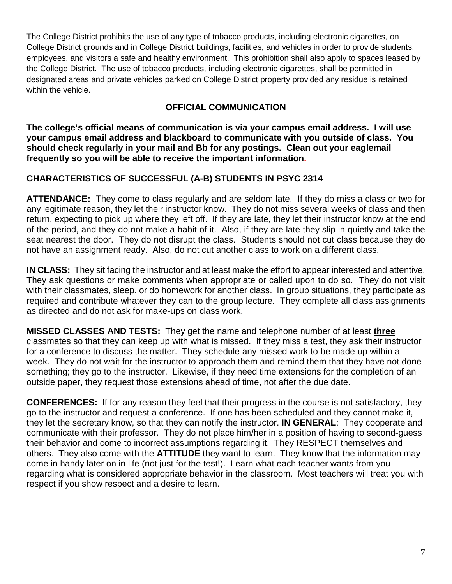The College District prohibits the use of any type of tobacco products, including electronic cigarettes, on College District grounds and in College District buildings, facilities, and vehicles in order to provide students, employees, and visitors a safe and healthy environment. This prohibition shall also apply to spaces leased by the College District. The use of tobacco products, including electronic cigarettes, shall be permitted in designated areas and private vehicles parked on College District property provided any residue is retained within the vehicle.

# **OFFICIAL COMMUNICATION**

**The college's official means of communication is via your campus email address. I will use your campus email address and blackboard to communicate with you outside of class. You should check regularly in your mail and Bb for any postings. Clean out your eaglemail frequently so you will be able to receive the important information.**

# **CHARACTERISTICS OF SUCCESSFUL (A-B) STUDENTS IN PSYC 2314**

**ATTENDANCE:** They come to class regularly and are seldom late. If they do miss a class or two for any legitimate reason, they let their instructor know. They do not miss several weeks of class and then return, expecting to pick up where they left off. If they are late, they let their instructor know at the end of the period, and they do not make a habit of it. Also, if they are late they slip in quietly and take the seat nearest the door. They do not disrupt the class. Students should not cut class because they do not have an assignment ready. Also, do not cut another class to work on a different class.

**IN CLASS:** They sit facing the instructor and at least make the effort to appear interested and attentive. They ask questions or make comments when appropriate or called upon to do so. They do not visit with their classmates, sleep, or do homework for another class. In group situations, they participate as required and contribute whatever they can to the group lecture. They complete all class assignments as directed and do not ask for make-ups on class work.

**MISSED CLASSES AND TESTS:** They get the name and telephone number of at least **three** classmates so that they can keep up with what is missed. If they miss a test, they ask their instructor for a conference to discuss the matter. They schedule any missed work to be made up within a week. They do not wait for the instructor to approach them and remind them that they have not done something; they go to the instructor. Likewise, if they need time extensions for the completion of an outside paper, they request those extensions ahead of time, not after the due date.

**CONFERENCES:** If for any reason they feel that their progress in the course is not satisfactory, they go to the instructor and request a conference. If one has been scheduled and they cannot make it, they let the secretary know, so that they can notify the instructor. **IN GENERAL**: They cooperate and communicate with their professor. They do not place him/her in a position of having to second-guess their behavior and come to incorrect assumptions regarding it. They RESPECT themselves and others. They also come with the **ATTITUDE** they want to learn. They know that the information may come in handy later on in life (not just for the test!). Learn what each teacher wants from you regarding what is considered appropriate behavior in the classroom. Most teachers will treat you with respect if you show respect and a desire to learn.